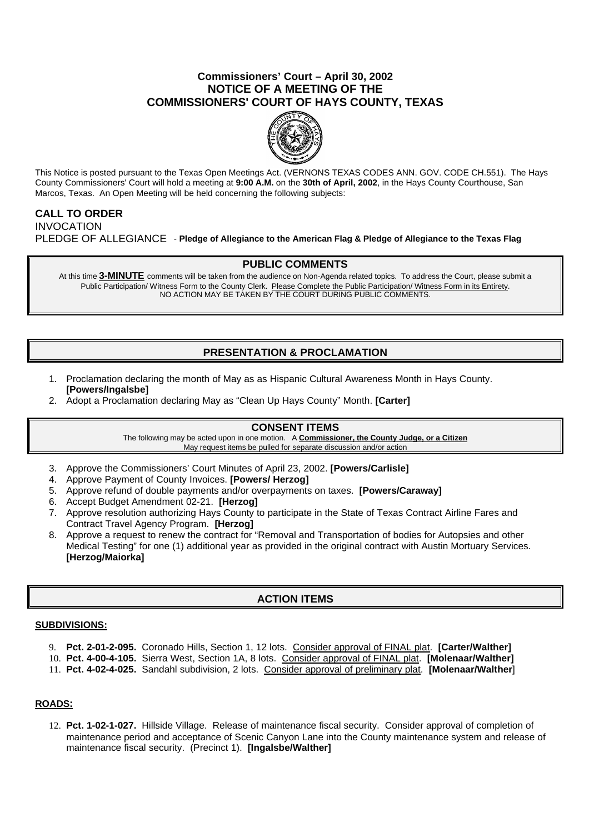## **Commissioners' Court – April 30, 2002 NOTICE OF A MEETING OF THE COMMISSIONERS' COURT OF HAYS COUNTY, TEXAS**



This Notice is posted pursuant to the Texas Open Meetings Act. (VERNONS TEXAS CODES ANN. GOV. CODE CH.551). The Hays County Commissioners' Court will hold a meeting at **9:00 A.M.** on the **30th of April, 2002**, in the Hays County Courthouse, San Marcos, Texas. An Open Meeting will be held concerning the following subjects:

# **CALL TO ORDER**

INVOCATION PLEDGE OF ALLEGIANCE - **Pledge of Allegiance to the American Flag & Pledge of Allegiance to the Texas Flag**

### **PUBLIC COMMENTS**

At this time **3-MINUTE** comments will be taken from the audience on Non-Agenda related topics. To address the Court, please submit a Public Participation/ Witness Form to the County Clerk. Please Complete the Public Participation/ Witness Form in its Entirety. NO ACTION MAY BE TAKEN BY THE COURT DURING PUBLIC COMMENTS.

# **PRESENTATION & PROCLAMATION**

- 1. Proclamation declaring the month of May as as Hispanic Cultural Awareness Month in Hays County. **[Powers/Ingalsbe]**
- 2. Adopt a Proclamation declaring May as "Clean Up Hays County" Month. **[Carter]**

## **CONSENT ITEMS**

The following may be acted upon in one motion. A **Commissioner, the County Judge, or a Citizen** May request items be pulled for separate discussion and/or action

- 3. Approve the Commissioners' Court Minutes of April 23, 2002. **[Powers/Carlisle]**
- 4. Approve Payment of County Invoices. **[Powers/ Herzog]**
- 5. Approve refund of double payments and/or overpayments on taxes. **[Powers/Caraway]**
- 6. Accept Budget Amendment 02-21. **[Herzog]**
- 7. Approve resolution authorizing Hays County to participate in the State of Texas Contract Airline Fares and Contract Travel Agency Program. **[Herzog]**
- 8. Approve a request to renew the contract for "Removal and Transportation of bodies for Autopsies and other Medical Testing" for one (1) additional year as provided in the original contract with Austin Mortuary Services. **[Herzog/Maiorka]**

## **ACTION ITEMS**

#### **SUBDIVISIONS:**

- 9. **Pct. 2-01-2-095.** Coronado Hills, Section 1, 12 lots. Consider approval of FINAL plat. **[Carter/Walther]**
- 10. **Pct. 4-00-4-105.** Sierra West, Section 1A, 8 lots. Consider approval of FINAL plat. **[Molenaar/Walther]**
- 11. **Pct. 4-02-4-025.** Sandahl subdivision, 2 lots. Consider approval of preliminary plat. **[Molenaar/Walther**]

### **ROADS:**

12. **Pct. 1-02-1-027.** Hillside Village. Release of maintenance fiscal security. Consider approval of completion of maintenance period and acceptance of Scenic Canyon Lane into the County maintenance system and release of maintenance fiscal security. (Precinct 1). **[Ingalsbe/Walther]**